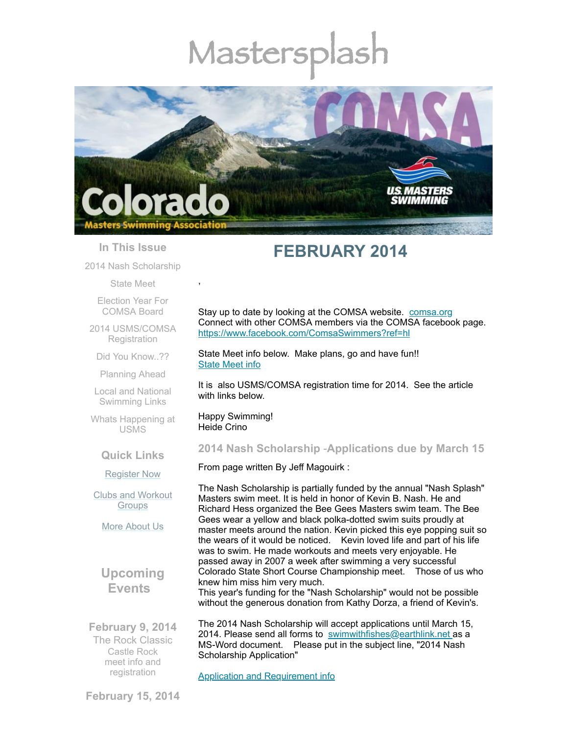# Mastersp



#### **In This Issue**

2014 Nash [Scholarship](#page-0-0)

[State](#page-0-1) Meet

Election Year For [COMSA](#page-1-0) Board

2014 [USMS/COMSA](#page-2-0) **Registration** 

Did You [Know..??](#page-2-1)

[Planning](#page-3-0) Ahead

Local and National [Swimming](#page-3-1) Links

Whats [Happening](#page-3-2) at USMS

#### **Quick Links**

[Register](http://comsa.org/joining/index.html) Now

Clubs and [Workout](http://comsa.org/clubs/index.html) **Groups** 

More [About](http://comsa.org/) Us

**Upcoming Events**

**February 9, 2014** The Rock Classic Castle Rock meet info and [registration](http://www.comsa.org/events/2014%20pool/2014RockClassic.pdf)

# **FEBRUARY 2014**

Stay up to date by looking at the COMSA website. [comsa.org](http://comsa.org/) Connect with other COMSA members via the COMSA facebook page. <https://www.facebook.com/ComsaSwimmers?ref=hl>

State Meet info below. Make plans, go and have fun!! [State](https://www.clubassistant.com/club/meet_information.cfm?c=1279&smid=5102) Meet info

It is also USMS/COMSA registration time for 2014. See the article with links below.

Happy Swimming! Heide Crino

,

# <span id="page-0-0"></span>**2014 Nash Scholarship** -**Applications due by March 15**

From page written By Jeff Magouirk :

The Nash Scholarship is partially funded by the annual "Nash Splash" Masters swim meet. It is held in honor of Kevin B. Nash. He and Richard Hess organized the Bee Gees Masters swim team. The Bee Gees wear a yellow and black polka-dotted swim suits proudly at master meets around the nation. Kevin picked this eye popping suit so the wears of it would be noticed. Kevin loved life and part of his life was to swim. He made workouts and meets very enjoyable. He passed away in 2007 a week after swimming a very successful Colorado State Short Course Championship meet. Those of us who knew him miss him very much.

This year's funding for the "Nash Scholarship" would not be possible without the generous donation from Kathy Dorza, a friend of Kevin's.

The 2014 Nash Scholarship will accept applications until March 15, 2014. Please send all forms to [swimwithfishes@earthlink.net](mailto:swimwithfishes@earthlink.net) as a MS-Word document. Please put in the subject line, "2014 Nash Scholarship Application"

<span id="page-0-1"></span>Application and [Requirement](http://www.comsa.org/articles/2014%20Nash%20Scholarship.pdf) info

**February 15, 2014**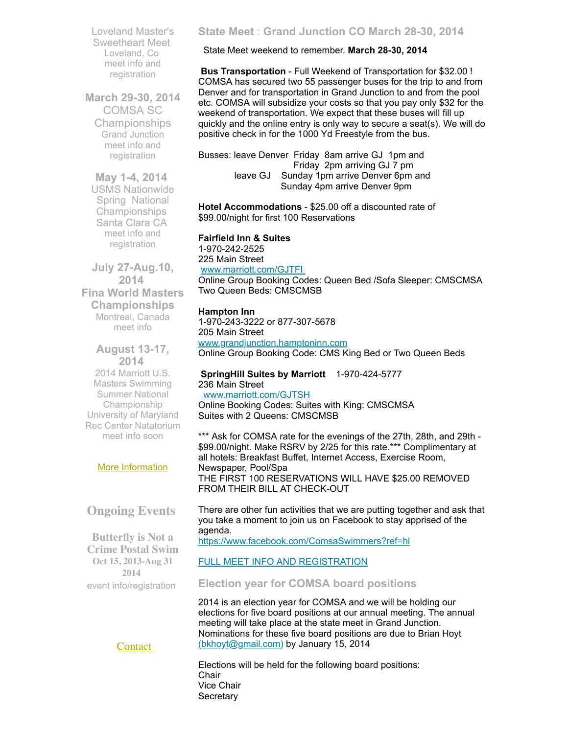Loveland Master's Sweetheart Meet Loveland, Co meet info and [registration](http://www.comsa.org/events/2014%20pool/2014LovelandSweetheart.pdf)

**March 29-30, 2014** COMSA SC Championships Grand Junction meet info and [registration](https://www.clubassistant.com/club/meet_information.cfm?c=1279&smid=5102)

**May 1-4, 2014** USMS Nationwide Spring National Championships Santa Clara CA meet info and [registration](http://www.usms.org/comp/scnats14/)

**July 27-Aug.10, 2014 Fina World Masters Championships** Montreal, Canada [meet](http://finamasters2014.org/home/) info

**August 13-17, 2014** 2014 Marriott U.S. Masters Swimming Summer National Championship University of Maryland Rec Center Natatorium meet info soon

#### More [Information](http://www.comsa.org/)

# **Ongoing Events**

**Butterfly is Not a Crime Postal Swim Oct 15, 2013-Aug 31 2014** event [info/registration](http://swimflyfast.com/)

**[Contact](mailto:heidecrino@gmail.com?)** 

#### **State Meet** : **Grand Junction CO March 28-30, 2014**

State Meet weekend to remember. **March 28-30, 2014**

**Bus Transportation** - Full Weekend of Transportation for \$32.00 ! COMSA has secured two 55 passenger buses for the trip to and from Denver and for transportation in Grand Junction to and from the pool etc. COMSA will subsidize your costs so that you pay only \$32 for the weekend of transportation. We expect that these buses will fill up quickly and the online entry is only way to secure a seat(s). We will do positive check in for the 1000 Yd Freestyle from the bus.

Busses: leave Denver Friday 8am arrive GJ 1pm and Friday 2pm arriving GJ 7 pm leave GJ Sunday 1pm arrive Denver 6pm and Sunday 4pm arrive Denver 9pm

**Hotel Accommodations** - \$25.00 off a discounted rate of \$99.00/night for first 100 Reservations

**Fairfield Inn & Suites**

1-970-242-2525 225 Main Street [www.marriott.com/GJTFI](http://www.marriott.com/GJTFI)

Online Group Booking Codes: Queen Bed /Sofa Sleeper: CMSCMSA Two Queen Beds: CMSCMSB

#### **Hampton Inn**

1-970-243-3222 or 877-307-5678 205 Main Street [www.grandjunction.hamptoninn.com](http://www.grandjunction.hamptoninn.com/)

Online Group Booking Code: CMS King Bed or Two Queen Beds

#### **SpringHill Suites by Marriott** 1-970-424-5777 236 Main Street [www.marriott.com/GJTSH](http://www.marriott.com/GJTSH)

Online Booking Codes: Suites with King: CMSCMSA Suites with 2 Queens: CMSCMSB

\*\*\* Ask for COMSA rate for the evenings of the 27th, 28th, and 29th -\$99.00/night. Make RSRV by 2/25 for this rate.\*\*\* Complimentary at all hotels: Breakfast Buffet, Internet Access, Exercise Room, Newspaper, Pool/Spa THE FIRST 100 RESERVATIONS WILL HAVE \$25.00 REMOVED FROM THEIR BILL AT CHECK-OUT

There are other fun activities that we are putting together and ask that you take a moment to join us on Facebook to stay apprised of the agenda.

<https://www.facebook.com/ComsaSwimmers?ref=hl>

#### FULL MEET INFO AND [REGISTRATION](https://www.clubassistant.com/club/meet_information.cfm?c=1279&smid=5102)

#### <span id="page-1-0"></span>**Election year for COMSA board positions**

2014 is an election year for COMSA and we will be holding our elections for five board positions at our annual meeting. The annual meeting will take place at the state meet in Grand Junction. Nominations for these five board positions are due to Brian Hoyt [\(bkhoyt@gmail.com](mailto:bkhoyt@gmail.com)) by January 15, 2014

Elections will be held for the following board positions: **Chair** Vice Chair **Secretary**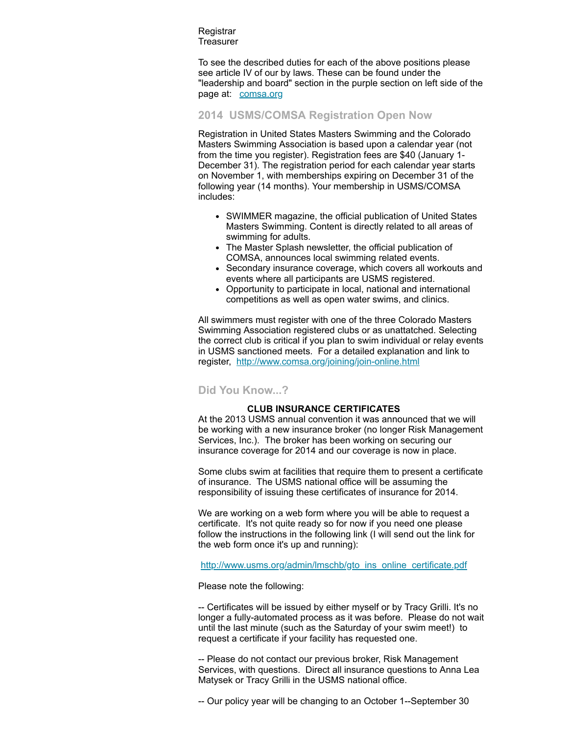Registrar **Treasurer** 

To see the described duties for each of the above positions please see article IV of our by laws. These can be found under the "leadership and board" section in the purple section on left side of the page at: [comsa.org](http://comsa.org/)

#### <span id="page-2-0"></span>**2014 USMS/COMSA Registration Open Now**

Registration in United States Masters Swimming and the Colorado Masters Swimming Association is based upon a calendar year (not from the time you register). Registration fees are \$40 (January 1- December 31). The registration period for each calendar year starts on November 1, with memberships expiring on December 31 of the following year (14 months). Your membership in USMS/COMSA includes:

- SWIMMER magazine, the official publication of United States Masters Swimming. Content is directly related to all areas of swimming for adults.
- The Master Splash newsletter, the official publication of COMSA, announces local swimming related events.
- Secondary insurance coverage, which covers all workouts and events where all participants are USMS registered.
- Opportunity to participate in local, national and international competitions as well as open water swims, and clinics.

All swimmers must register with one of the three Colorado Masters Swimming Association registered clubs or as unattatched. Selecting the correct club is critical if you plan to swim individual or relay events in USMS sanctioned meets. For a detailed explanation and link to register, <http://www.comsa.org/joining/join-online.html>

#### <span id="page-2-1"></span>**Did You Know...?**

#### **CLUB INSURANCE CERTIFICATES**

At the 2013 USMS annual convention it was announced that we will be working with a new insurance broker (no longer Risk Management Services, Inc.). The broker has been working on securing our insurance coverage for 2014 and our coverage is now in place.

Some clubs swim at facilities that require them to present a certificate of insurance. The USMS national office will be assuming the responsibility of issuing these certificates of insurance for 2014.

We are working on a web form where you will be able to request a certificate. It's not quite ready so for now if you need one please follow the instructions in the following link (I will send out the link for the web form once it's up and running):

[http://www.usms.org/admin/lmschb/gto\\_ins\\_online\\_certificate.pdf](http://www.usms.org/admin/lmschb/gto_ins_online_certificate.pdf)

Please note the following:

-- Certificates will be issued by either myself or by Tracy Grilli. It's no longer a fully-automated process as it was before. Please do not wait until the last minute (such as the Saturday of your swim meet!) to request a certificate if your facility has requested one.

-- Please do not contact our previous broker, Risk Management Services, with questions. Direct all insurance questions to Anna Lea Matysek or Tracy Grilli in the USMS national office.

-- Our policy year will be changing to an October 1--September 30